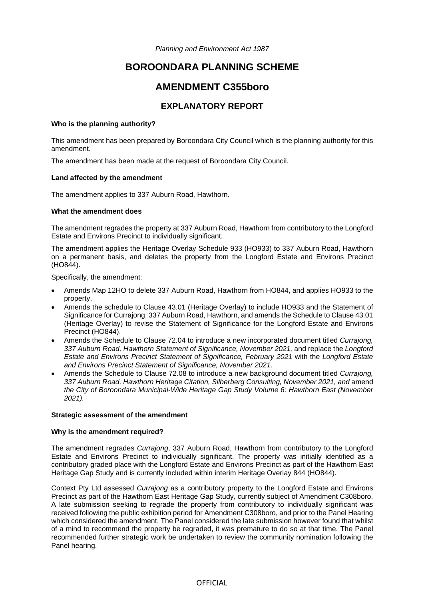*Planning and Environment Act 1987* 

# **BOROONDARA PLANNING SCHEME**

# **AMENDMENT C355boro**

# **EXPLANATORY REPORT**

### **Who is the planning authority?**

This amendment has been prepared by Boroondara City Council which is the planning authority for this amendment.

The amendment has been made at the request of Boroondara City Council.

### **Land affected by the amendment**

The amendment applies to 337 Auburn Road, Hawthorn.

### **What the amendment does**

The amendment regrades the property at 337 Auburn Road, Hawthorn from contributory to the Longford Estate and Environs Precinct to individually significant.

The amendment applies the Heritage Overlay Schedule 933 (HO933) to 337 Auburn Road, Hawthorn on a permanent basis, and deletes the property from the Longford Estate and Environs Precinct (HO844).

Specifically, the amendment:

- Amends Map 12HO to delete 337 Auburn Road, Hawthorn from HO844, and applies HO933 to the property.
- Amends the schedule to Clause 43.01 (Heritage Overlay) to include HO933 and the Statement of Significance for Currajong, 337 Auburn Road, Hawthorn, and amends the Schedule to Clause 43.01 (Heritage Overlay) to revise the Statement of Significance for the Longford Estate and Environs Precinct (HO844).
- Amends the Schedule to Clause 72.04 to introduce a new incorporated document titled *Currajong, 337 Auburn Road, Hawthorn Statement of Significance, November 2021,* and replace the *Longford Estate and Environs Precinct Statement of Significance, February 2021* with the *Longford Estate and Environs Precinct Statement of Significance, November 2021*.
- Amends the Schedule to Clause 72.08 to introduce a new background document titled *Currajong, 337 Auburn Road, Hawthorn Heritage Citation, Silberberg Consulting, November 2021, and* amend *the City of Boroondara Municipal-Wide Heritage Gap Study Volume 6: Hawthorn East (November 2021).*

# **Strategic assessment of the amendment**

# **Why is the amendment required?**

The amendment regrades *Currajong*, 337 Auburn Road, Hawthorn from contributory to the Longford Estate and Environs Precinct to individually significant. The property was initially identified as a contributory graded place with the Longford Estate and Environs Precinct as part of the Hawthorn East Heritage Gap Study and is currently included within interim Heritage Overlay 844 (HO844).

Context Pty Ltd assessed *Currajong* as a contributory property to the Longford Estate and Environs Precinct as part of the Hawthorn East Heritage Gap Study, currently subject of Amendment C308boro. A late submission seeking to regrade the property from contributory to individually significant was received following the public exhibition period for Amendment C308boro, and prior to the Panel Hearing which considered the amendment. The Panel considered the late submission however found that whilst of a mind to recommend the property be regraded, it was premature to do so at that time. The Panel recommended further strategic work be undertaken to review the community nomination following the Panel hearing.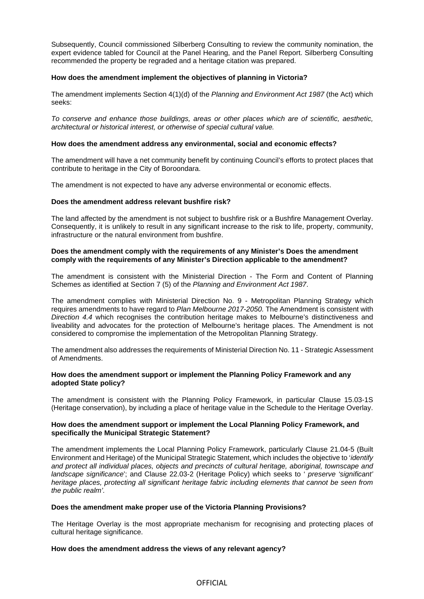Subsequently, Council commissioned Silberberg Consulting to review the community nomination, the expert evidence tabled for Council at the Panel Hearing, and the Panel Report. Silberberg Consulting recommended the property be regraded and a heritage citation was prepared.

# **How does the amendment implement the objectives of planning in Victoria?**

The amendment implements Section 4(1)(d) of the *Planning and Environment Act 1987* (the Act) which seeks:

*To conserve and enhance those buildings, areas or other places which are of scientific, aesthetic, architectural or historical interest, or otherwise of special cultural value.* 

# **How does the amendment address any environmental, social and economic effects?**

The amendment will have a net community benefit by continuing Council's efforts to protect places that contribute to heritage in the City of Boroondara.

The amendment is not expected to have any adverse environmental or economic effects.

# **Does the amendment address relevant bushfire risk?**

The land affected by the amendment is not subject to bushfire risk or a Bushfire Management Overlay. Consequently, it is unlikely to result in any significant increase to the risk to life, property, community, infrastructure or the natural environment from bushfire.

# **Does the amendment comply with the requirements of any Minister's Does the amendment comply with the requirements of any Minister's Direction applicable to the amendment?**

The amendment is consistent with the Ministerial Direction - The Form and Content of Planning Schemes as identified at Section 7 (5) of the *Planning and Environment Act 1987*.

The amendment complies with Ministerial Direction No. 9 - Metropolitan Planning Strategy which requires amendments to have regard to *Plan Melbourne 2017-2050.* The Amendment is consistent with *Direction 4.4* which recognises the contribution heritage makes to Melbourne's distinctiveness and liveability and advocates for the protection of Melbourne's heritage places. The Amendment is not considered to compromise the implementation of the Metropolitan Planning Strategy.

The amendment also addresses the requirements of Ministerial Direction No. 11 - Strategic Assessment of Amendments.

# **How does the amendment support or implement the Planning Policy Framework and any adopted State policy?**

The amendment is consistent with the Planning Policy Framework, in particular Clause 15.03-1S (Heritage conservation), by including a place of heritage value in the Schedule to the Heritage Overlay.

### **How does the amendment support or implement the Local Planning Policy Framework, and specifically the Municipal Strategic Statement?**

The amendment implements the Local Planning Policy Framework, particularly Clause 21.04-5 (Built Environment and Heritage) of the Municipal Strategic Statement, which includes the objective to '*identify and protect all individual places, objects and precincts of cultural heritage, aboriginal, townscape and landscape significance*'; and Clause 22.03-2 (Heritage Policy) which seeks to ' *preserve 'significant' heritage places, protecting all significant heritage fabric including elements that cannot be seen from the public realm'.*

### **Does the amendment make proper use of the Victoria Planning Provisions?**

The Heritage Overlay is the most appropriate mechanism for recognising and protecting places of cultural heritage significance.

### **How does the amendment address the views of any relevant agency?**

# **OFFICIAL**